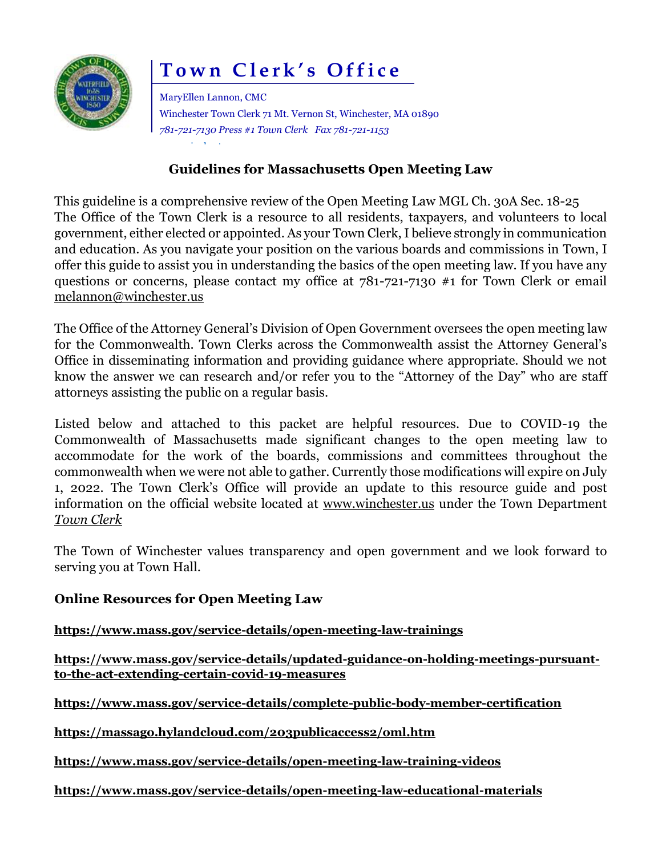

# **Town Clerk's Office**

MaryEllen Lannon, CMC Winchester Town Clerk 71 Mt. Vernon St, Winchester, MA 01890 *781-721-7130 Press #1 Town Clerk Fax 781-721-1153* [www.winchester.us](http://www.winchester.us/)

## **Guidelines for Massachusetts Open Meeting Law**

This guideline is a comprehensive review of the Open Meeting Law MGL Ch. 30A Sec. 18-25 The Office of the Town Clerk is a resource to all residents, taxpayers, and volunteers to local government, either elected or appointed. As your Town Clerk,I believe strongly in communication and education. As you navigate your position on the various boards and commissions in Town, I offer this guide to assist you in understanding the basics of the open meeting law. If you have any questions or concerns, please contact my office at 781-721-7130 #1 for Town Clerk or email [melannon@winchester.us](mailto:melannon@winchester.us)

The Office of the Attorney General's Division of Open Government oversees the open meeting law for the Commonwealth. Town Clerks across the Commonwealth assist the Attorney General's Office in disseminating information and providing guidance where appropriate. Should we not know the answer we can research and/or refer you to the "Attorney of the Day" who are staff attorneys assisting the public on a regular basis.

Listed below and attached to this packet are helpful resources. Due to COVID-19 the Commonwealth of Massachusetts made significant changes to the open meeting law to accommodate for the work of the boards, commissions and committees throughout the commonwealth when we were not able to gather. Currently those modifications will expire on July 1, 2022. The Town Clerk's Office will provide an update to this resource guide and post information on the official website located at [www.winchester.us](http://www.winchester.us/) under the Town Department *Town Clerk*

The Town of Winchester values transparency and open government and we look forward to serving you at Town Hall.

## **Online Resources for Open Meeting Law**

## **<https://www.mass.gov/service-details/open-meeting-law-trainings>**

**[https://www.mass.gov/service-details/updated-guidance-on-holding-meetings-pursuant](https://www.mass.gov/service-details/updated-guidance-on-holding-meetings-pursuant-to-the-act-extending-certain-covid-19-measures)[to-the-act-extending-certain-covid-19-measures](https://www.mass.gov/service-details/updated-guidance-on-holding-meetings-pursuant-to-the-act-extending-certain-covid-19-measures)**

**<https://www.mass.gov/service-details/complete-public-body-member-certification>**

**<https://massago.hylandcloud.com/203publicaccess2/oml.htm>**

**<https://www.mass.gov/service-details/open-meeting-law-training-videos>**

**<https://www.mass.gov/service-details/open-meeting-law-educational-materials>**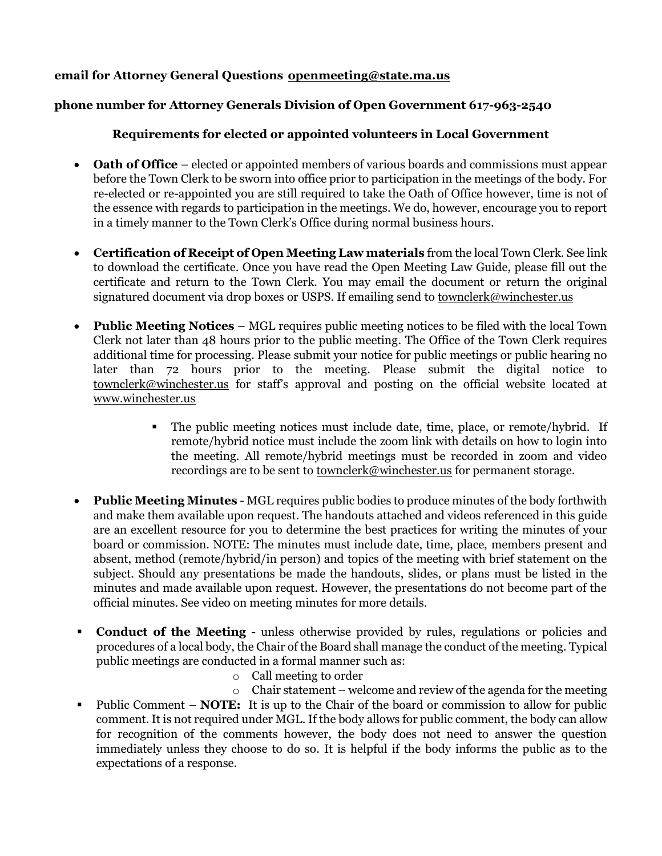#### **email for Attorney General Questions [openmeeting@state.ma.us](mailto:openmeeting@state.ma.us)**

#### **phone number for Attorney Generals Division of Open Government 617-963-2540**

#### **Requirements for elected or appointed volunteers in Local Government**

- **Oath of Office** elected or appointed members of various boards and commissions must appear before the Town Clerk to be sworn into office prior to participation in the meetings of the body. For re-elected or re-appointed you are still required to take the Oath of Office however, time is not of the essence with regards to participation in the meetings. We do, however, encourage you to report in a timely manner to the Town Clerk's Office during normal business hours.
- **Certification of Receipt of Open Meeting Law materials** from the local Town Clerk. See link to download the certificate. Once you have read the Open Meeting Law Guide, please fill out the certificate and return to the Town Clerk. You may email the document or return the original signatured document via drop boxes or USPS. If emailing send to [townclerk@winchester.us](mailto:townclerk@winchester.us)
- **Public Meeting Notices** MGL requires public meeting notices to be filed with the local Town Clerk not later than 48 hours prior to the public meeting. The Office of the Town Clerk requires additional time for processing. Please submit your notice for public meetings or public hearing no later than 72 hours prior to the meeting. Please submit the digital notice to [townclerk@winchester.us](mailto:townclerk@winchester.us) for staff's approval and posting on the official website located at [www.winchester.us](http://www.winchester.us/)
	- The public meeting notices must include date, time, place, or remote/hybrid. If remote/hybrid notice must include the zoom link with details on how to login into the meeting. All remote/hybrid meetings must be recorded in zoom and video recordings are to be sent to <u>townclerk@winchester.us</u> for permanent storage.
- **Public Meeting Minutes** MGL requires public bodies to produce minutes of the body forthwith and make them available upon request. The handouts attached and videos referenced in this guide are an excellent resource for you to determine the best practices for writing the minutes of your board or commission. NOTE: The minutes must include date, time, place, members present and absent, method (remote/hybrid/in person) and topics of the meeting with brief statement on the subject. Should any presentations be made the handouts, slides, or plans must be listed in the minutes and made available upon request. However, the presentations do not become part of the official minutes. See video on meeting minutes for more details.
- **Conduct of the Meeting** unless otherwise provided by rules, regulations or policies and procedures of a local body, the Chair of the Board shall manage the conduct of the meeting. Typical public meetings are conducted in a formal manner such as:
	- o Call meeting to order
	- $\circ$  Chair statement welcome and review of the agenda for the meeting
- Public Comment **NOTE:** It is up to the Chair of the board or commission to allow for public comment. It is not required under MGL. If the body allows for public comment, the body can allow for recognition of the comments however, the body does not need to answer the question immediately unless they choose to do so. It is helpful if the body informs the public as to the expectations of a response.